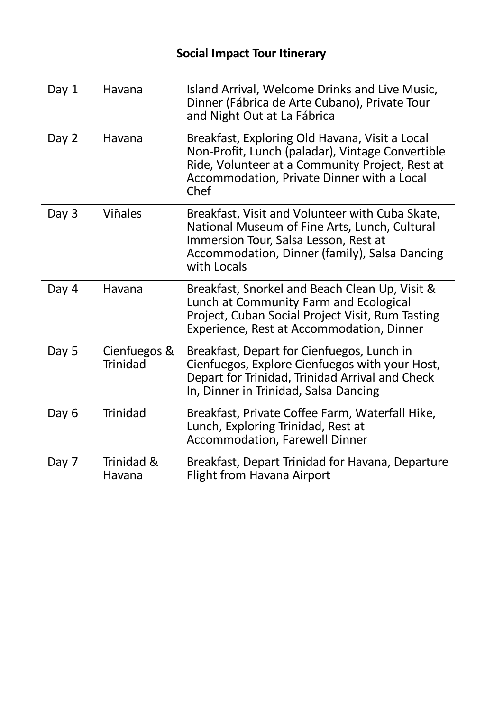| Day 1 | Havana                          | Island Arrival, Welcome Drinks and Live Music,<br>Dinner (Fábrica de Arte Cubano), Private Tour<br>and Night Out at La Fábrica                                                                              |
|-------|---------------------------------|-------------------------------------------------------------------------------------------------------------------------------------------------------------------------------------------------------------|
| Day 2 | Havana                          | Breakfast, Exploring Old Havana, Visit a Local<br>Non-Profit, Lunch (paladar), Vintage Convertible<br>Ride, Volunteer at a Community Project, Rest at<br>Accommodation, Private Dinner with a Local<br>Chef |
| Day 3 | <b>Viñales</b>                  | Breakfast, Visit and Volunteer with Cuba Skate,<br>National Museum of Fine Arts, Lunch, Cultural<br>Immersion Tour, Salsa Lesson, Rest at<br>Accommodation, Dinner (family), Salsa Dancing<br>with Locals   |
| Day 4 | Havana                          | Breakfast, Snorkel and Beach Clean Up, Visit &<br>Lunch at Community Farm and Ecological<br>Project, Cuban Social Project Visit, Rum Tasting<br>Experience, Rest at Accommodation, Dinner                   |
| Day 5 | Cienfuegos &<br><b>Trinidad</b> | Breakfast, Depart for Cienfuegos, Lunch in<br>Cienfuegos, Explore Cienfuegos with your Host,<br>Depart for Trinidad, Trinidad Arrival and Check<br>In, Dinner in Trinidad, Salsa Dancing                    |
| Day 6 | <b>Trinidad</b>                 | Breakfast, Private Coffee Farm, Waterfall Hike,<br>Lunch, Exploring Trinidad, Rest at<br><b>Accommodation, Farewell Dinner</b>                                                                              |
| Day 7 | Trinidad &<br>Havana            | Breakfast, Depart Trinidad for Havana, Departure<br><b>Flight from Havana Airport</b>                                                                                                                       |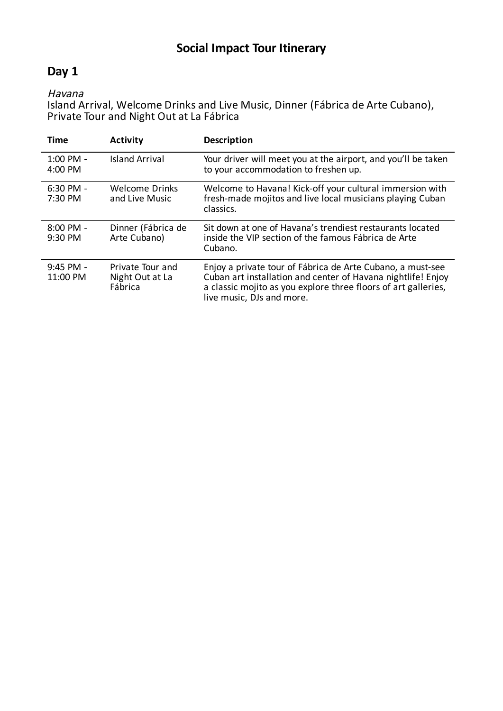## **Day 1**

### Havana

Island Arrival, Welcome Drinks and Live Music, Dinner (Fábrica de Arte Cubano), Private Tour and Night Out at La Fábrica

| <b>Time</b>             | <b>Activity</b>                                | <b>Description</b>                                                                                                                                                                                                        |
|-------------------------|------------------------------------------------|---------------------------------------------------------------------------------------------------------------------------------------------------------------------------------------------------------------------------|
| $1:00$ PM -<br>4:00 PM  | <b>Island Arrival</b>                          | Your driver will meet you at the airport, and you'll be taken<br>to your accommodation to freshen up.                                                                                                                     |
| $6:30$ PM -<br>7:30 PM  | Welcome Drinks<br>and Live Music               | Welcome to Havana! Kick-off your cultural immersion with<br>fresh-made mojitos and live local musicians playing Cuban<br>classics.                                                                                        |
| $8:00$ PM -<br>9:30 PM  | Dinner (Fábrica de<br>Arte Cubano)             | Sit down at one of Havana's trendiest restaurants located<br>inside the VIP section of the famous Fábrica de Arte<br>Cubano.                                                                                              |
| $9:45$ PM -<br>11:00 PM | Private Tour and<br>Night Out at La<br>Fábrica | Enjoy a private tour of Fábrica de Arte Cubano, a must-see<br>Cuban art installation and center of Havana nightlife! Enjoy<br>a classic mojito as you explore three floors of art galleries,<br>live music, DJs and more. |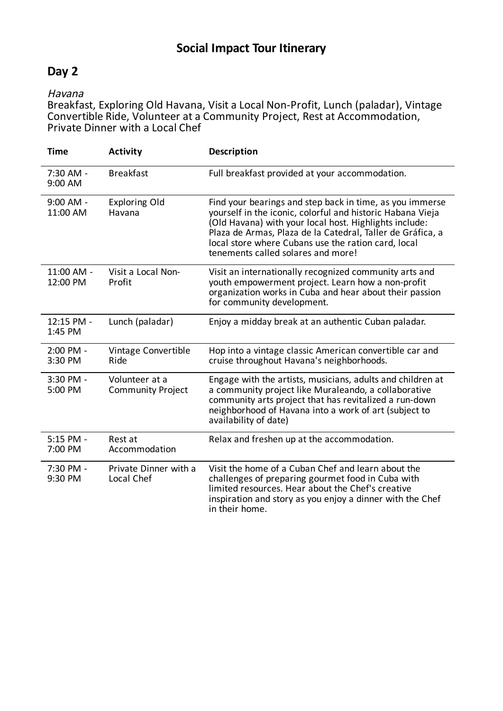## **Day 2**

#### Havana

Breakfast, Exploring Old Havana, Visit a Local Non-Profit, Lunch (paladar), Vintage Convertible Ride, Volunteer at a Community Project, Rest at Accommodation, Private Dinner with a Local Chef

| <b>Time</b>             | <b>Activity</b>                            | <b>Description</b>                                                                                                                                                                                                                                                                                                                          |
|-------------------------|--------------------------------------------|---------------------------------------------------------------------------------------------------------------------------------------------------------------------------------------------------------------------------------------------------------------------------------------------------------------------------------------------|
| 7:30 AM -<br>9:00 AM    | <b>Breakfast</b>                           | Full breakfast provided at your accommodation.                                                                                                                                                                                                                                                                                              |
| $9:00$ AM -<br>11:00 AM | <b>Exploring Old</b><br>Havana             | Find your bearings and step back in time, as you immerse<br>yourself in the iconic, colorful and historic Habana Vieja<br>(Old Havana) with your local host. Highlights include:<br>Plaza de Armas, Plaza de la Catedral, Taller de Gráfica, a<br>local store where Cubans use the ration card, local<br>tenements called solares and more! |
| 11:00 AM -<br>12:00 PM  | Visit a Local Non-<br>Profit               | Visit an internationally recognized community arts and<br>youth empowerment project. Learn how a non-profit<br>organization works in Cuba and hear about their passion<br>for community development.                                                                                                                                        |
| 12:15 PM -<br>1:45 PM   | Lunch (paladar)                            | Enjoy a midday break at an authentic Cuban paladar.                                                                                                                                                                                                                                                                                         |
| 2:00 PM -<br>3:30 PM    | Vintage Convertible<br>Ride                | Hop into a vintage classic American convertible car and<br>cruise throughout Havana's neighborhoods.                                                                                                                                                                                                                                        |
| 3:30 PM -<br>5:00 PM    | Volunteer at a<br><b>Community Project</b> | Engage with the artists, musicians, adults and children at<br>a community project like Muraleando, a collaborative<br>community arts project that has revitalized a run-down<br>neighborhood of Havana into a work of art (subject to<br>availability of date)                                                                              |
| 5:15 PM -<br>7:00 PM    | Rest at<br>Accommodation                   | Relax and freshen up at the accommodation.                                                                                                                                                                                                                                                                                                  |
| 7:30 PM -<br>9:30 PM    | Private Dinner with a<br>Local Chef        | Visit the home of a Cuban Chef and learn about the<br>challenges of preparing gourmet food in Cuba with<br>limited resources. Hear about the Chef's creative<br>inspiration and story as you enjoy a dinner with the Chef<br>in their home.                                                                                                 |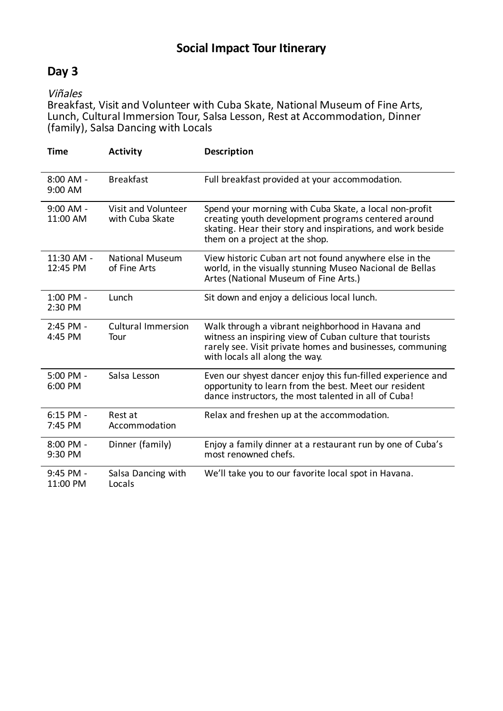## **Day 3**

#### Viñales

Breakfast, Visit and Volunteer with Cuba Skate, National Museum of Fine Arts, Lunch, Cultural Immersion Tour, Salsa Lesson, Rest at Accommodation, Dinner (family), Salsa Dancing with Locals

| <b>Time</b>             | <b>Activity</b>                        | Description                                                                                                                                                                                                    |
|-------------------------|----------------------------------------|----------------------------------------------------------------------------------------------------------------------------------------------------------------------------------------------------------------|
| $8:00$ AM -<br>9:00 AM  | <b>Breakfast</b>                       | Full breakfast provided at your accommodation.                                                                                                                                                                 |
| $9:00$ AM -<br>11:00 AM | Visit and Volunteer<br>with Cuba Skate | Spend your morning with Cuba Skate, a local non-profit<br>creating youth development programs centered around<br>skating. Hear their story and inspirations, and work beside<br>them on a project at the shop. |
| 11:30 AM -<br>12:45 PM  | <b>National Museum</b><br>of Fine Arts | View historic Cuban art not found anywhere else in the<br>world, in the visually stunning Museo Nacional de Bellas<br>Artes (National Museum of Fine Arts.)                                                    |
| 1:00 PM -<br>2:30 PM    | Lunch                                  | Sit down and enjoy a delicious local lunch.                                                                                                                                                                    |
| 2:45 PM -<br>4:45 PM    | <b>Cultural Immersion</b><br>Tour      | Walk through a vibrant neighborhood in Havana and<br>witness an inspiring view of Cuban culture that tourists<br>rarely see. Visit private homes and businesses, communing<br>with locals all along the way.   |
| 5:00 PM -<br>6:00 PM    | Salsa Lesson                           | Even our shyest dancer enjoy this fun-filled experience and<br>opportunity to learn from the best. Meet our resident<br>dance instructors, the most talented in all of Cuba!                                   |
| $6:15$ PM -<br>7:45 PM  | Rest at<br>Accommodation               | Relax and freshen up at the accommodation.                                                                                                                                                                     |
| 8:00 PM -<br>9:30 PM    | Dinner (family)                        | Enjoy a family dinner at a restaurant run by one of Cuba's<br>most renowned chefs.                                                                                                                             |
| 9:45 PM -<br>11:00 PM   | Salsa Dancing with<br>Locals           | We'll take you to our favorite local spot in Havana.                                                                                                                                                           |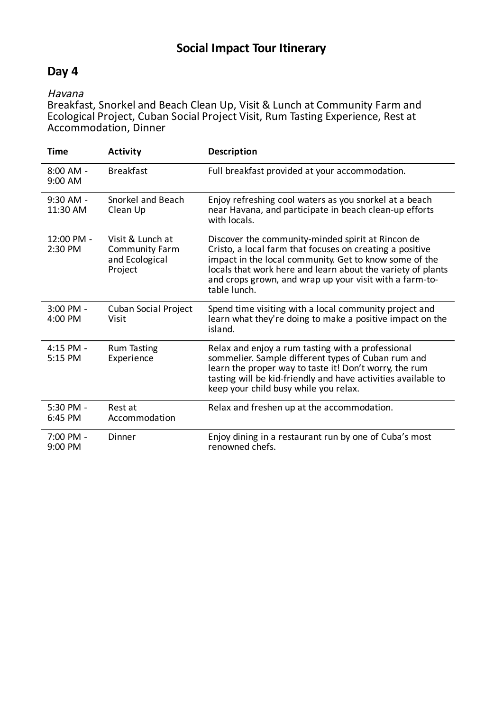## **Day 4**

#### Havana

Breakfast, Snorkel and Beach Clean Up, Visit & Lunch at Community Farm and Ecological Project, Cuban Social Project Visit, Rum Tasting Experience, Rest at Accommodation, Dinner

| <b>Time</b>             | <b>Activity</b>                                                        | Description                                                                                                                                                                                                                                                                                                       |
|-------------------------|------------------------------------------------------------------------|-------------------------------------------------------------------------------------------------------------------------------------------------------------------------------------------------------------------------------------------------------------------------------------------------------------------|
| 8:00 AM -<br>9:00 AM    | <b>Breakfast</b>                                                       | Full breakfast provided at your accommodation.                                                                                                                                                                                                                                                                    |
| $9:30$ AM -<br>11:30 AM | Snorkel and Beach<br>Clean Up                                          | Enjoy refreshing cool waters as you snorkel at a beach<br>near Havana, and participate in beach clean-up efforts<br>with locals.                                                                                                                                                                                  |
| 12:00 PM -<br>2:30 PM   | Visit & Lunch at<br><b>Community Farm</b><br>and Ecological<br>Project | Discover the community-minded spirit at Rincon de<br>Cristo, a local farm that focuses on creating a positive<br>impact in the local community. Get to know some of the<br>locals that work here and learn about the variety of plants<br>and crops grown, and wrap up your visit with a farm-to-<br>table lunch. |
| 3:00 PM -<br>4:00 PM    | Cuban Social Project<br>Visit                                          | Spend time visiting with a local community project and<br>learn what they're doing to make a positive impact on the<br>island.                                                                                                                                                                                    |
| 4:15 PM -<br>5:15 PM    | <b>Rum Tasting</b><br>Experience                                       | Relax and enjoy a rum tasting with a professional<br>sommelier. Sample different types of Cuban rum and<br>learn the proper way to taste it! Don't worry, the rum<br>tasting will be kid-friendly and have activities available to<br>keep your child busy while you relax.                                       |
| 5:30 PM -<br>6:45 PM    | Rest at<br>Accommodation                                               | Relax and freshen up at the accommodation.                                                                                                                                                                                                                                                                        |
| 7:00 PM -<br>9:00 PM    | Dinner                                                                 | Enjoy dining in a restaurant run by one of Cuba's most<br>renowned chefs.                                                                                                                                                                                                                                         |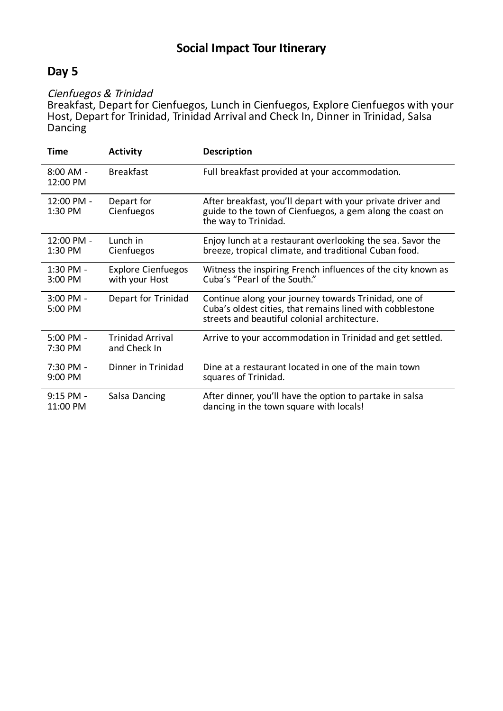## **Day 5**

#### Cienfuegos & Trinidad

Breakfast, Depart for Cienfuegos, Lunch in Cienfuegos, Explore Cienfuegos with your Host, Depart for Trinidad, Trinidad Arrival and Check In, Dinner in Trinidad, Salsa Dancing

| <b>Time</b>             | <b>Activity</b>                             | <b>Description</b>                                                                                                                                                |
|-------------------------|---------------------------------------------|-------------------------------------------------------------------------------------------------------------------------------------------------------------------|
| $8:00$ AM -<br>12:00 PM | <b>Breakfast</b>                            | Full breakfast provided at your accommodation.                                                                                                                    |
| 12:00 PM -<br>1:30 PM   | Depart for<br>Cienfuegos                    | After breakfast, you'll depart with your private driver and<br>guide to the town of Cienfuegos, a gem along the coast on<br>the way to Trinidad.                  |
| 12:00 PM -<br>1:30 PM   | Lunch in<br>Cienfuegos                      | Enjoy lunch at a restaurant overlooking the sea. Savor the<br>breeze, tropical climate, and traditional Cuban food.                                               |
| 1:30 PM -<br>3:00 PM    | <b>Explore Cienfuegos</b><br>with your Host | Witness the inspiring French influences of the city known as<br>Cuba's "Pearl of the South."                                                                      |
| 3:00 PM -<br>5:00 PM    | Depart for Trinidad                         | Continue along your journey towards Trinidad, one of<br>Cuba's oldest cities, that remains lined with cobblestone<br>streets and beautiful colonial architecture. |
| 5:00 PM -<br>7:30 PM    | <b>Trinidad Arrival</b><br>and Check In     | Arrive to your accommodation in Trinidad and get settled.                                                                                                         |
| 7:30 PM -<br>9:00 PM    | Dinner in Trinidad                          | Dine at a restaurant located in one of the main town<br>squares of Trinidad.                                                                                      |
| 9:15 PM -<br>11:00 PM   | Salsa Dancing                               | After dinner, you'll have the option to partake in salsa<br>dancing in the town square with locals!                                                               |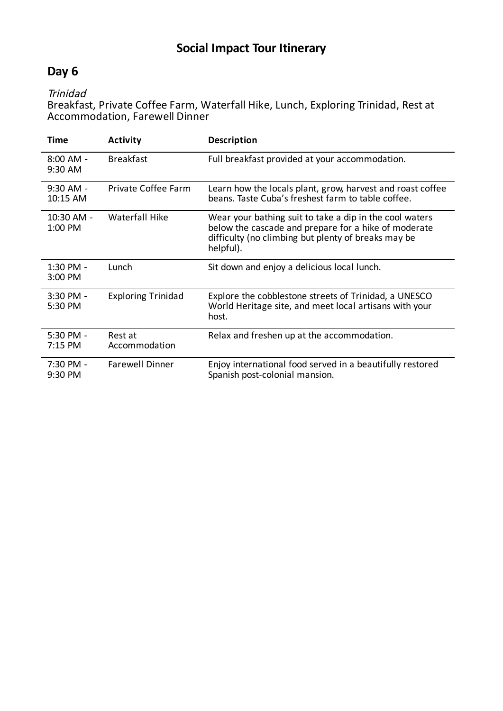## **Day 6**

Trinidad

Breakfast, Private Coffee Farm, Waterfall Hike, Lunch, Exploring Trinidad, Rest at Accommodation, Farewell Dinner

| Time                     | <b>Activity</b>           | <b>Description</b>                                                                                                                                                                  |
|--------------------------|---------------------------|-------------------------------------------------------------------------------------------------------------------------------------------------------------------------------------|
| $8:00$ AM -<br>9:30 AM   | <b>Breakfast</b>          | Full breakfast provided at your accommodation.                                                                                                                                      |
| $9:30$ AM -<br>10:15 AM  | Private Coffee Farm       | Learn how the locals plant, grow, harvest and roast coffee<br>beans. Taste Cuba's freshest farm to table coffee.                                                                    |
| 10:30 AM -<br>1:00 PM    | Waterfall Hike            | Wear your bathing suit to take a dip in the cool waters<br>below the cascade and prepare for a hike of moderate<br>difficulty (no climbing but plenty of breaks may be<br>helpful). |
| $1:30$ PM -<br>3:00 PM   | Lunch                     | Sit down and enjoy a delicious local lunch.                                                                                                                                         |
| $3:30$ PM -<br>5:30 PM   | <b>Exploring Trinidad</b> | Explore the cobblestone streets of Trinidad, a UNESCO<br>World Heritage site, and meet local artisans with your<br>host.                                                            |
| $5:30$ PM -<br>$7:15$ PM | Rest at<br>Accommodation  | Relax and freshen up at the accommodation.                                                                                                                                          |
| 7:30 PM -<br>9:30 PM     | <b>Farewell Dinner</b>    | Enjoy international food served in a beautifully restored<br>Spanish post-colonial mansion.                                                                                         |